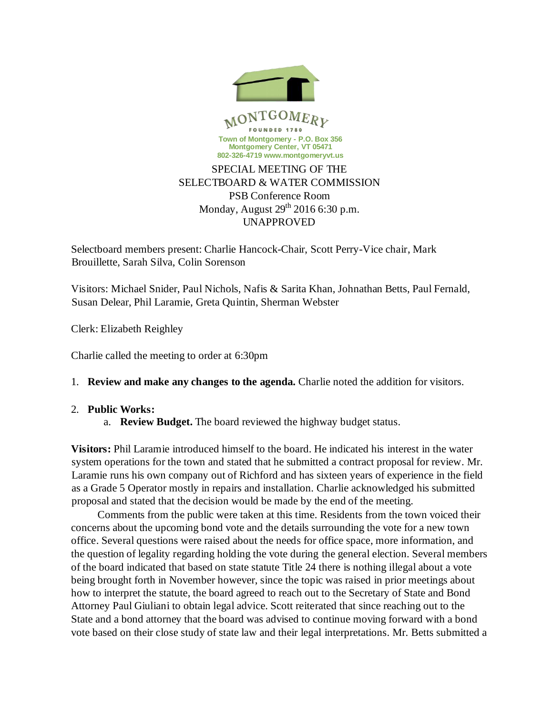

## PSB Conference Room Monday, August  $29<sup>th</sup> 2016$  6:30 p.m. UNAPPROVED

Selectboard members present: Charlie Hancock-Chair, Scott Perry-Vice chair, Mark Brouillette, Sarah Silva, Colin Sorenson

Visitors: Michael Snider, Paul Nichols, Nafis & Sarita Khan, Johnathan Betts, Paul Fernald, Susan Delear, Phil Laramie, Greta Quintin, Sherman Webster

Clerk: Elizabeth Reighley

Charlie called the meeting to order at 6:30pm

## 1. **Review and make any changes to the agenda.** Charlie noted the addition for visitors.

## 2. **Public Works:**

a. **Review Budget.** The board reviewed the highway budget status.

**Visitors:** Phil Laramie introduced himself to the board. He indicated his interest in the water system operations for the town and stated that he submitted a contract proposal for review. Mr. Laramie runs his own company out of Richford and has sixteen years of experience in the field as a Grade 5 Operator mostly in repairs and installation. Charlie acknowledged his submitted proposal and stated that the decision would be made by the end of the meeting.

Comments from the public were taken at this time. Residents from the town voiced their concerns about the upcoming bond vote and the details surrounding the vote for a new town office. Several questions were raised about the needs for office space, more information, and the question of legality regarding holding the vote during the general election. Several members of the board indicated that based on state statute Title 24 there is nothing illegal about a vote being brought forth in November however, since the topic was raised in prior meetings about how to interpret the statute, the board agreed to reach out to the Secretary of State and Bond Attorney Paul Giuliani to obtain legal advice. Scott reiterated that since reaching out to the State and a bond attorney that the board was advised to continue moving forward with a bond vote based on their close study of state law and their legal interpretations. Mr. Betts submitted a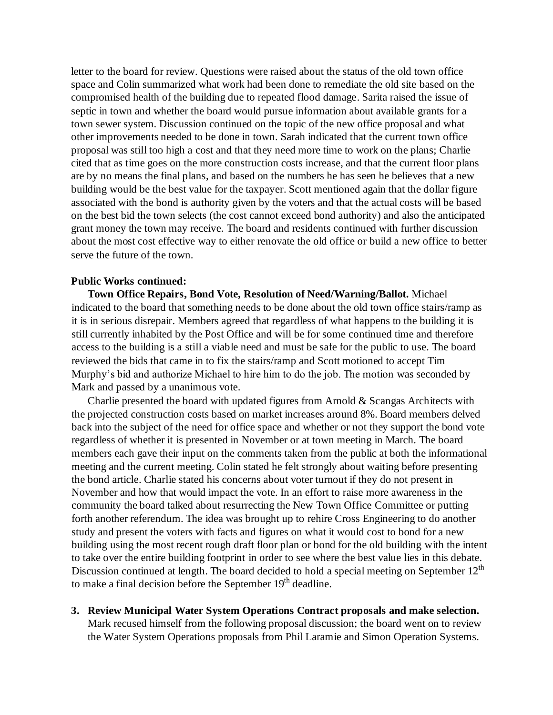letter to the board for review. Questions were raised about the status of the old town office space and Colin summarized what work had been done to remediate the old site based on the compromised health of the building due to repeated flood damage. Sarita raised the issue of septic in town and whether the board would pursue information about available grants for a town sewer system. Discussion continued on the topic of the new office proposal and what other improvements needed to be done in town. Sarah indicated that the current town office proposal was still too high a cost and that they need more time to work on the plans; Charlie cited that as time goes on the more construction costs increase, and that the current floor plans are by no means the final plans, and based on the numbers he has seen he believes that a new building would be the best value for the taxpayer. Scott mentioned again that the dollar figure associated with the bond is authority given by the voters and that the actual costs will be based on the best bid the town selects (the cost cannot exceed bond authority) and also the anticipated grant money the town may receive. The board and residents continued with further discussion about the most cost effective way to either renovate the old office or build a new office to better serve the future of the town.

## **Public Works continued:**

**Town Office Repairs, Bond Vote, Resolution of Need/Warning/Ballot.** Michael indicated to the board that something needs to be done about the old town office stairs/ramp as it is in serious disrepair. Members agreed that regardless of what happens to the building it is still currently inhabited by the Post Office and will be for some continued time and therefore access to the building is a still a viable need and must be safe for the public to use. The board reviewed the bids that came in to fix the stairs/ramp and Scott motioned to accept Tim Murphy's bid and authorize Michael to hire him to do the job. The motion was seconded by Mark and passed by a unanimous vote.

Charlie presented the board with updated figures from Arnold & Scangas Architects with the projected construction costs based on market increases around 8%. Board members delved back into the subject of the need for office space and whether or not they support the bond vote regardless of whether it is presented in November or at town meeting in March. The board members each gave their input on the comments taken from the public at both the informational meeting and the current meeting. Colin stated he felt strongly about waiting before presenting the bond article. Charlie stated his concerns about voter turnout if they do not present in November and how that would impact the vote. In an effort to raise more awareness in the community the board talked about resurrecting the New Town Office Committee or putting forth another referendum. The idea was brought up to rehire Cross Engineering to do another study and present the voters with facts and figures on what it would cost to bond for a new building using the most recent rough draft floor plan or bond for the old building with the intent to take over the entire building footprint in order to see where the best value lies in this debate. Discussion continued at length. The board decided to hold a special meeting on September 12<sup>th</sup> to make a final decision before the September  $19<sup>th</sup>$  deadline.

**3. Review Municipal Water System Operations Contract proposals and make selection.** Mark recused himself from the following proposal discussion; the board went on to review the Water System Operations proposals from Phil Laramie and Simon Operation Systems.